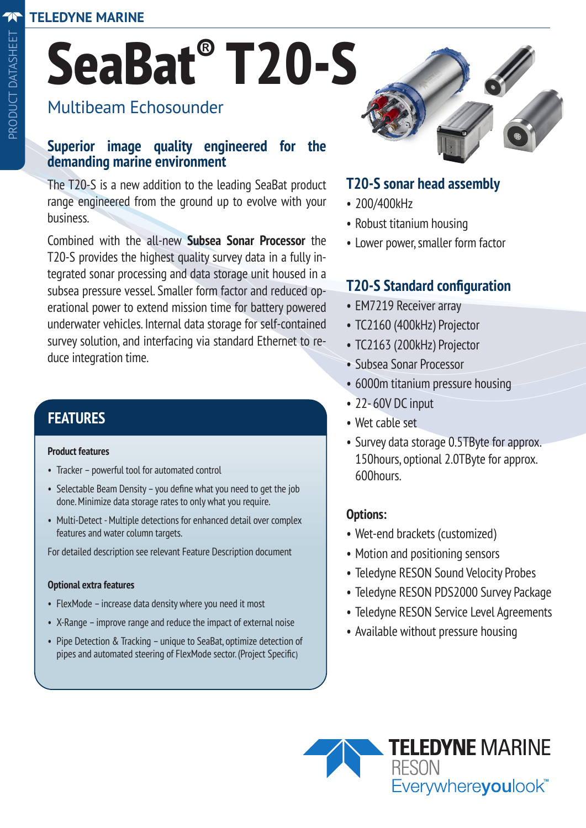# **SeaBat® T20-S**

# Multibeam Echosounder

#### **Superior image quality engineered for the demanding marine environment**

The T20-S is a new addition to the leading SeaBat product range engineered from the ground up to evolve with your business.

Combined with the all-new **Subsea Sonar Processor** the T20-S provides the highest quality survey data in a fully integrated sonar processing and data storage unit housed in a subsea pressure vessel. Smaller form factor and reduced operational power to extend mission time for battery powered underwater vehicles. Internal data storage for self-contained survey solution, and interfacing via standard Ethernet to reduce integration time.

## **FEATURES**

#### **Product features**

- Tracker powerful tool for automated control
- Selectable Beam Density you define what you need to get the job done. Minimize data storage rates to only what you require.
- Multi-Detect Multiple detections for enhanced detail over complex features and water column targets.

For detailed description see relevant Feature Description document

#### **Optional extra features**

- FlexMode increase data density where you need it most
- X-Range improve range and reduce the impact of external noise
- Pipe Detection & Tracking unique to SeaBat, optimize detection of pipes and automated steering of FlexMode sector. (Project Specific)



#### **T20-S sonar head assembly**

- 200/400kHz
- Robust titanium housing
- Lower power, smaller form factor

### **T20-S Standard configuration**

- EM7219 Receiver array
- TC2160 (400kHz) Projector
- TC2163 (200kHz) Projector
- Subsea Sonar Processor
- 6000m titanium pressure housing
- 22- 60V DC input
- Wet cable set
- Survey data storage 0.5TByte for approx. 150hours, optional 2.0TByte for approx. 600hours.

#### **Options:**

- Wet-end brackets (customized)
- Motion and positioning sensors
- Teledyne RESON Sound Velocity Probes
- Teledyne RESON PDS2000 Survey Package
- Teledyne RESON Service Level Agreements
- Available without pressure housing